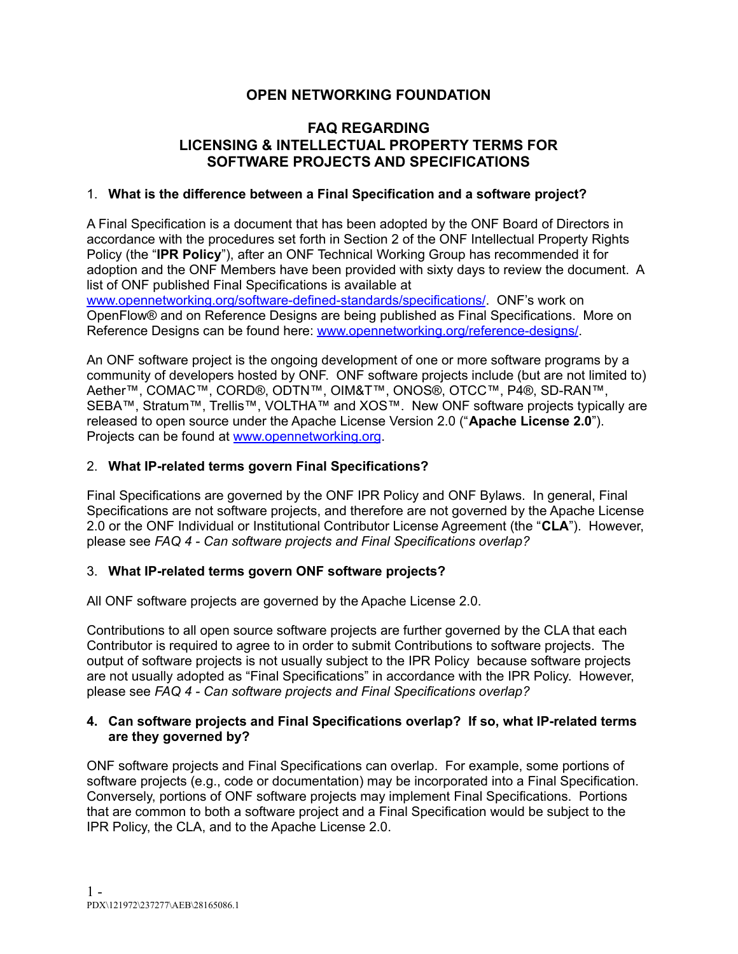# **OPEN NETWORKING FOUNDATION**

### **FAQ REGARDING LICENSING & INTELLECTUAL PROPERTY TERMS FOR SOFTWARE PROJECTS AND SPECIFICATIONS**

### 1. **What is the difference between a Final Specification and a software project?**

A Final Specification is a document that has been adopted by the ONF Board of Directors in accordance with the procedures set forth in Section 2 of the ONF Intellectual Property Rights Policy (the "**IPR Policy**"), after an ONF Technical Working Group has recommended it for adoption and the ONF Members have been provided with sixty days to review the document. A list of ONF published Final Specifications is available at

[www.opennetworking.org/software-defined-standards/specifications/](http://www.opennetworking.org/software-defined-standards/specifications/). ONF's work on OpenFlow® and on Reference Designs are being published as Final Specifications. More on Reference Designs can be found here: [www.opennetworking.org/reference-designs/](http://www.opennetworking.org/reference-designs/).

An ONF software project is the ongoing development of one or more software programs by a community of developers hosted by ONF. ONF software projects include (but are not limited to) Aether™, COMAC™, CORD®, ODTN™, OIM&T™, ONOS®, OTCC™, P4®, SD-RAN™, SEBA™, Stratum™, Trellis™, VOLTHA™ and XOS™. New ONF software projects typically are released to open source under the Apache License Version 2.0 ("**Apache License 2.0**"). Projects can be found at [www.opennetworking.org](https://www.opennetworking.org/).

#### 2. **What IP-related terms govern Final Specifications?**

Final Specifications are governed by the ONF IPR Policy and ONF Bylaws. In general, Final Specifications are not software projects, and therefore are not governed by the Apache License 2.0 or the ONF Individual or Institutional Contributor License Agreement (the "**CLA**"). However, please see *FAQ 4 - Can software projects and Final Specifications overlap?*

#### 3. **What IP-related terms govern ONF software projects?**

All ONF software projects are governed by the Apache License 2.0.

Contributions to all open source software projects are further governed by the CLA that each Contributor is required to agree to in order to submit Contributions to software projects. The output of software projects is not usually subject to the IPR Policy because software projects are not usually adopted as "Final Specifications" in accordance with the IPR Policy. However, please see *FAQ 4 - Can software projects and Final Specifications overlap?*

#### **4. Can software projects and Final Specifications overlap? If so, what IP-related terms are they governed by?**

ONF software projects and Final Specifications can overlap. For example, some portions of software projects (e.g., code or documentation) may be incorporated into a Final Specification. Conversely, portions of ONF software projects may implement Final Specifications. Portions that are common to both a software project and a Final Specification would be subject to the IPR Policy, the CLA, and to the Apache License 2.0.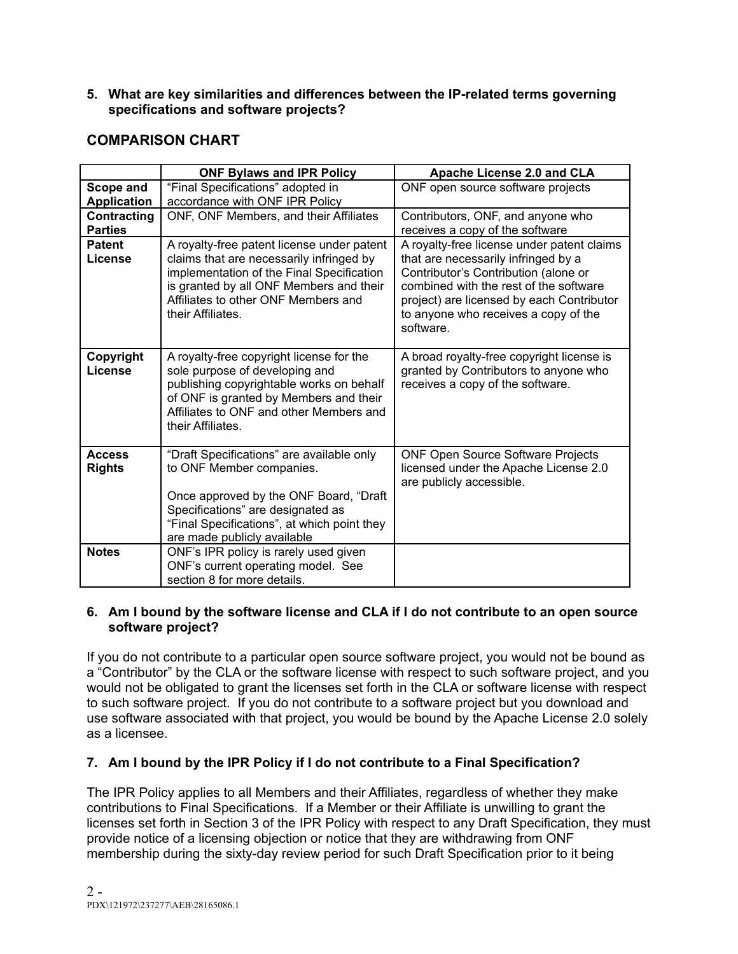**5. What are key similarities and differences between the IP-related terms governing specifications and software projects?**

# **COMPARISON CHART**

|                                 | <b>ONF Bylaws and IPR Policy</b>                                                                                                                                                                                                           | Apache License 2.0 and CLA                                                                                                                                                                                                                                            |
|---------------------------------|--------------------------------------------------------------------------------------------------------------------------------------------------------------------------------------------------------------------------------------------|-----------------------------------------------------------------------------------------------------------------------------------------------------------------------------------------------------------------------------------------------------------------------|
| Scope and<br><b>Application</b> | "Final Specifications" adopted in<br>accordance with ONF IPR Policy                                                                                                                                                                        | ONF open source software projects                                                                                                                                                                                                                                     |
| Contracting<br><b>Parties</b>   | ONF, ONF Members, and their Affiliates                                                                                                                                                                                                     | Contributors, ONF, and anyone who<br>receives a copy of the software                                                                                                                                                                                                  |
| <b>Patent</b><br>License        | A royalty-free patent license under patent<br>claims that are necessarily infringed by<br>implementation of the Final Specification<br>is granted by all ONF Members and their<br>Affiliates to other ONF Members and<br>their Affiliates. | A royalty-free license under patent claims<br>that are necessarily infringed by a<br>Contributor's Contribution (alone or<br>combined with the rest of the software<br>project) are licensed by each Contributor<br>to anyone who receives a copy of the<br>software. |
| Copyright<br>License            | A royalty-free copyright license for the<br>sole purpose of developing and<br>publishing copyrightable works on behalf<br>of ONF is granted by Members and their<br>Affiliates to ONF and other Members and<br>their Affiliates.           | A broad royalty-free copyright license is<br>granted by Contributors to anyone who<br>receives a copy of the software.                                                                                                                                                |
| <b>Access</b><br><b>Rights</b>  | "Draft Specifications" are available only<br>to ONF Member companies.<br>Once approved by the ONF Board, "Draft<br>Specifications" are designated as<br>"Final Specifications", at which point they<br>are made publicly available         | <b>ONF Open Source Software Projects</b><br>licensed under the Apache License 2.0<br>are publicly accessible.                                                                                                                                                         |
| <b>Notes</b>                    | ONF's IPR policy is rarely used given<br>ONF's current operating model. See<br>section 8 for more details.                                                                                                                                 |                                                                                                                                                                                                                                                                       |

#### **6. Am I bound by the software license and CLA if I do not contribute to an open source software project?**

If you do not contribute to a particular open source software project, you would not be bound as a "Contributor" by the CLA or the software license with respect to such software project, and you would not be obligated to grant the licenses set forth in the CLA or software license with respect to such software project. If you do not contribute to a software project but you download and use software associated with that project, you would be bound by the Apache License 2.0 solely as a licensee.

# **7. Am I bound by the IPR Policy if I do not contribute to a Final Specification?**

The IPR Policy applies to all Members and their Affiliates, regardless of whether they make contributions to Final Specifications. If a Member or their Affiliate is unwilling to grant the licenses set forth in Section 3 of the IPR Policy with respect to any Draft Specification, they must provide notice of a licensing objection or notice that they are withdrawing from ONF membership during the sixty-day review period for such Draft Specification prior to it being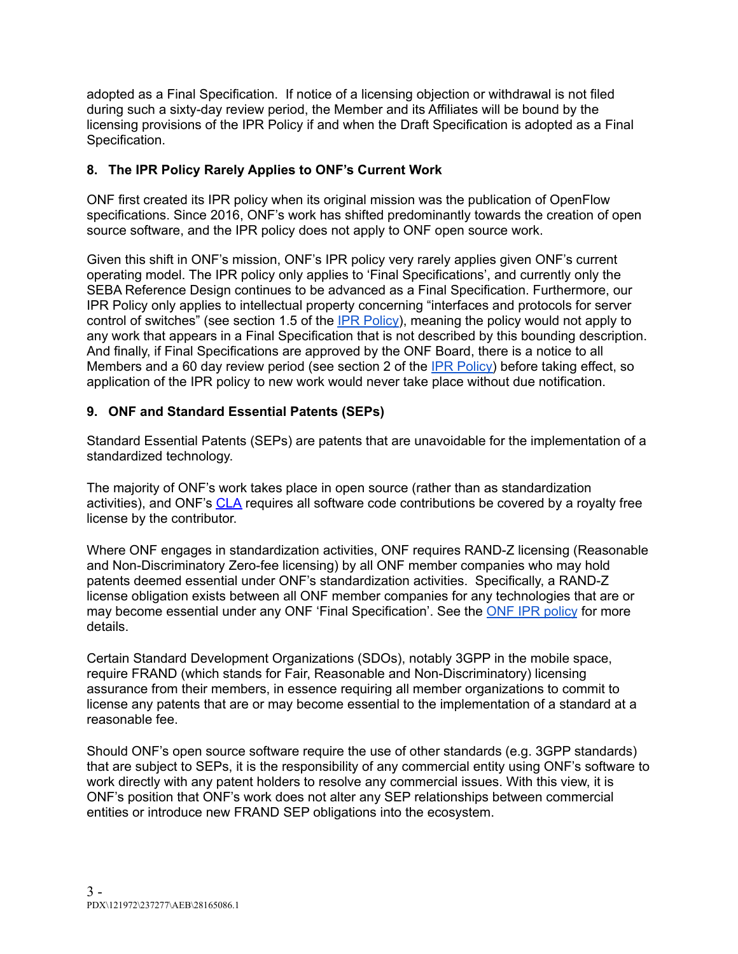adopted as a Final Specification. If notice of a licensing objection or withdrawal is not filed during such a sixty-day review period, the Member and its Affiliates will be bound by the licensing provisions of the IPR Policy if and when the Draft Specification is adopted as a Final Specification.

### **8. The IPR Policy Rarely Applies to ONF's Current Work**

ONF first created its IPR policy when its original mission was the publication of OpenFlow specifications. Since 2016, ONF's work has shifted predominantly towards the creation of open source software, and the IPR policy does not apply to ONF open source work.

Given this shift in ONF's mission, ONF's IPR policy very rarely applies given ONF's current operating model. The IPR policy only applies to 'Final Specifications', and currently only the SEBA Reference Design continues to be advanced as a Final Specification. Furthermore, our IPR Policy only applies to intellectual property concerning "interfaces and protocols for server control of switches" (see section 1.5 of the IPR [Policy](https://opennetworking.org/wp-content/uploads/2017/07/ONF-IPR-Policy-2016.pdf)), meaning the policy would not apply to any work that appears in a Final Specification that is not described by this bounding description. And finally, if Final Specifications are approved by the ONF Board, there is a notice to all Members and a 60 day review period (see section 2 of the IPR [Policy\)](https://opennetworking.org/wp-content/uploads/2017/07/ONF-IPR-Policy-2016.pdf) before taking effect, so application of the IPR policy to new work would never take place without due notification.

### **9. ONF and Standard Essential Patents (SEPs)**

Standard Essential Patents (SEPs) are patents that are unavoidable for the implementation of a standardized technology.

The majority of ONF's work takes place in open source (rather than as standardization activities), and ONF's [CLA](https://www.opennetworking.org/wp-content/uploads/2020/09/ONF-Institutional-CLA-2020.pdf) requires all software code contributions be covered by a royalty free license by the contributor.

Where ONF engages in standardization activities, ONF requires RAND-Z licensing (Reasonable and Non-Discriminatory Zero-fee licensing) by all ONF member companies who may hold patents deemed essential under ONF's standardization activities. Specifically, a RAND-Z license obligation exists between all ONF member companies for any technologies that are or may become essential under any ONF 'Final Specification'. See the ONF IPR [policy](https://www.opennetworking.org/wp-content/uploads/2017/07/ONF-IPR-Policy-2016.pdf) for more details.

Certain Standard Development Organizations (SDOs), notably 3GPP in the mobile space, require FRAND (which stands for Fair, Reasonable and Non-Discriminatory) licensing assurance from their members, in essence requiring all member organizations to commit to license any patents that are or may become essential to the implementation of a standard at a reasonable fee.

Should ONF's open source software require the use of other standards (e.g. 3GPP standards) that are subject to SEPs, it is the responsibility of any commercial entity using ONF's software to work directly with any patent holders to resolve any commercial issues. With this view, it is ONF's position that ONF's work does not alter any SEP relationships between commercial entities or introduce new FRAND SEP obligations into the ecosystem.